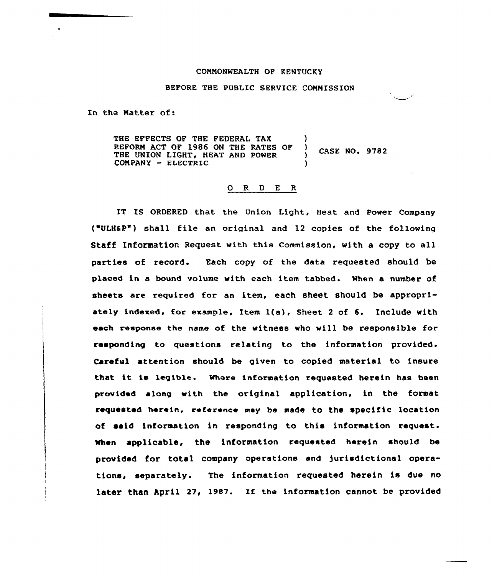## COMMONWEALTH OF RENTUCKY

BEFORE THE PUBLIC SERVICE COMMISSION

In the Matter of:

THE EFFECTS OF THE FEDERAL TAX )<br>REFORM ACT OF 1986 ON THE RATES OF ) REFORM ACT OF 1986 ON THE RATES OF CASE NO. 9782 THE UNION LIGHT, HEAT AND POWER COMPANY - ELECTRIC

## O R D E R

IT IS ORDERED that the Union Light, Heat and Power Company ('ULHSP ) shall file an original and 12 copies of the following Staff Information Request with this Commission, with a copy to all parties of record. Each copy of the data requested should be placed in a bound volume with each item tabbed. When a number of sheets are required for an item, each sheet should be appropriately indexed, for example, Item l(a), Sheet <sup>2</sup> of 6. Include with each response the name of the witness who will be responsible for responding to questions relating to the information provided. Careful attention should be given to copied material to insure that it is legible. where information requested herein has been provided along with the original application, in the format requested herein, reference may be made to the specific location of said information in responding to this information request. When applicable, the information requested herein should be provided for total company operations and )urisdictional operations, separately. The information requested herein is due no later than April 27, 1987. If the information cannot be provided